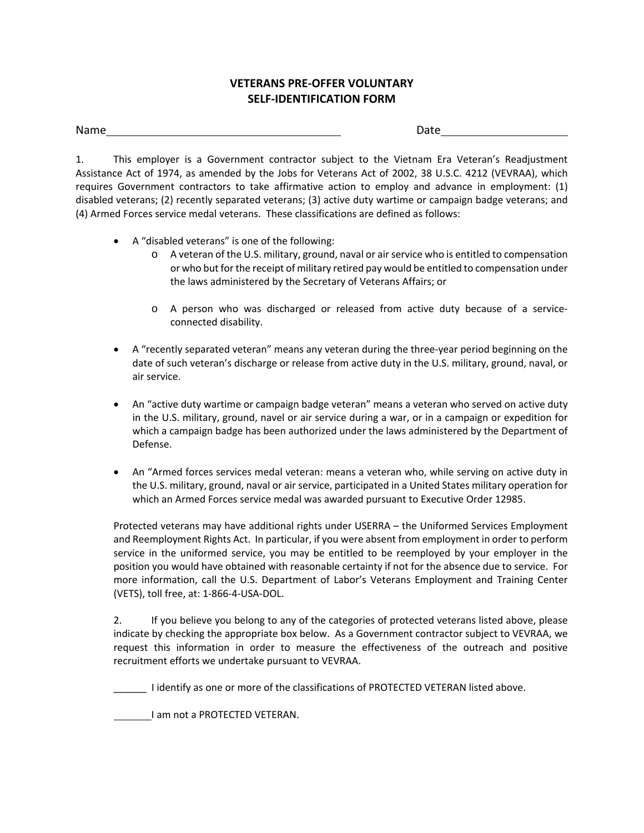## **VETERANS PRE‐OFFER VOLUNTARY SELF‐IDENTIFICATION FORM**

## Name Date

1. This employer is a Government contractor subject to the Vietnam Era Veteran's Readjustment Assistance Act of 1974, as amended by the Jobs for Veterans Act of 2002, 38 U.S.C. 4212 (VEVRAA), which requires Government contractors to take affirmative action to employ and advance in employment: (1) disabled veterans; (2) recently separated veterans; (3) active duty wartime or campaign badge veterans; and (4) Armed Forces service medal veterans. These classifications are defined as follows:

- A "disabled veterans" is one of the following:
	- o A veteran of the U.S. military, ground, naval or air service who is entitled to compensation or who but for the receipt of military retired pay would be entitled to compensation under the laws administered by the Secretary of Veterans Affairs; or
	- o A person who was discharged or released from active duty because of a service‐ connected disability.
- A "recently separated veteran" means any veteran during the three-year period beginning on the date of such veteran's discharge or release from active duty in the U.S. military, ground, naval, or air service.
- An "active duty wartime or campaign badge veteran" means a veteran who served on active duty in the U.S. military, ground, navel or air service during a war, or in a campaign or expedition for which a campaign badge has been authorized under the laws administered by the Department of Defense.
- An "Armed forces services medal veteran: means a veteran who, while serving on active duty in the U.S. military, ground, naval or air service, participated in a United States military operation for which an Armed Forces service medal was awarded pursuant to Executive Order 12985.

Protected veterans may have additional rights under USERRA – the Uniformed Services Employment and Reemployment Rights Act. In particular, if you were absent from employment in order to perform service in the uniformed service, you may be entitled to be reemployed by your employer in the position you would have obtained with reasonable certainty if not for the absence due to service. For more information, call the U.S. Department of Labor's Veterans Employment and Training Center (VETS), toll free, at: 1‐866‐4‐USA‐DOL.

2. If you believe you belong to any of the categories of protected veterans listed above, please indicate by checking the appropriate box below. As a Government contractor subject to VEVRAA, we request this information in order to measure the effectiveness of the outreach and positive recruitment efforts we undertake pursuant to VEVRAA.

\_\_\_\_\_\_ I identify as one or more of the classifications of PROTECTED VETERAN listed above.

I am not a PROTECTED VETERAN.